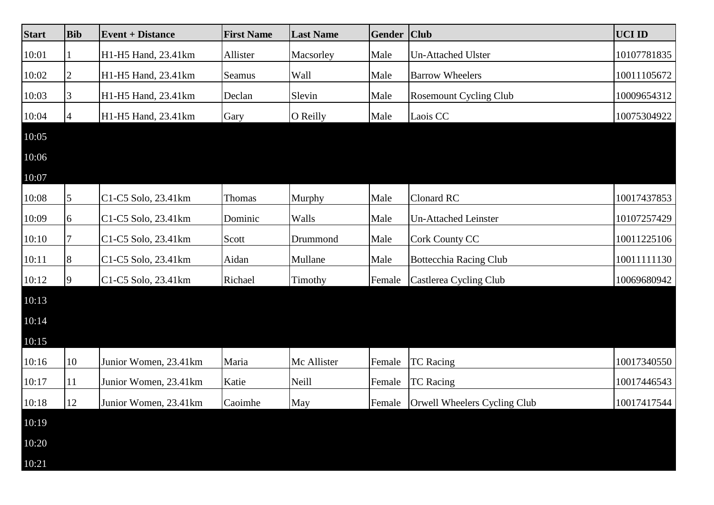| <b>Start</b> | <b>Bib</b> | <b>Event + Distance</b> | <b>First Name</b> | <b>Last Name</b> | <b>Gender</b> | $ $ Club                            | <b>UCI ID</b> |
|--------------|------------|-------------------------|-------------------|------------------|---------------|-------------------------------------|---------------|
| 10:01        |            | H1-H5 Hand, 23.41km     | Allister          | Macsorley        | Male          | <b>Un-Attached Ulster</b>           | 10107781835   |
| 10:02        | 2          | H1-H5 Hand, 23.41km     | Seamus            | Wall             | Male          | <b>Barrow Wheelers</b>              | 10011105672   |
| 10:03        | 3          | H1-H5 Hand, 23.41km     | Declan            | Slevin           | Male          | <b>Rosemount Cycling Club</b>       | 10009654312   |
| 10:04        |            | H1-H5 Hand, 23.41km     | Gary              | O Reilly         | Male          | Laois CC                            | 10075304922   |
| 10:05        |            |                         |                   |                  |               |                                     |               |
| 10:06        |            |                         |                   |                  |               |                                     |               |
| 10:07        |            |                         |                   |                  |               |                                     |               |
| 10:08        | 5          | C1-C5 Solo, 23.41km     | Thomas            | Murphy           | Male          | Clonard RC                          | 10017437853   |
| 10:09        | 6          | C1-C5 Solo, 23.41km     | Dominic           | Walls            | Male          | <b>Un-Attached Leinster</b>         | 10107257429   |
| 10:10        |            | C1-C5 Solo, 23.41km     | Scott             | Drummond         | Male          | <b>Cork County CC</b>               | 10011225106   |
| 10:11        | 8          | C1-C5 Solo, 23.41km     | Aidan             | Mullane          | Male          | <b>Bottecchia Racing Club</b>       | 10011111130   |
| 10:12        | 9          | C1-C5 Solo, 23.41km     | Richael           | Timothy          | Female        | Castlerea Cycling Club              | 10069680942   |
| 10:13        |            |                         |                   |                  |               |                                     |               |
| 10:14        |            |                         |                   |                  |               |                                     |               |
| 10:15        |            |                         |                   |                  |               |                                     |               |
| 10:16        | 10         | Junior Women, 23.41km   | Maria             | Mc Allister      | Female        | <b>TC</b> Racing                    | 10017340550   |
| 10:17        | 11         | Junior Women, 23.41km   | Katie             | Neill            | Female        | <b>TC</b> Racing                    | 10017446543   |
| 10:18        | 12         | Junior Women, 23.41km   | Caoimhe           | May              |               | Female Orwell Wheelers Cycling Club | 10017417544   |
| 10:19        |            |                         |                   |                  |               |                                     |               |
| 10:20        |            |                         |                   |                  |               |                                     |               |
| 10:21        |            |                         |                   |                  |               |                                     |               |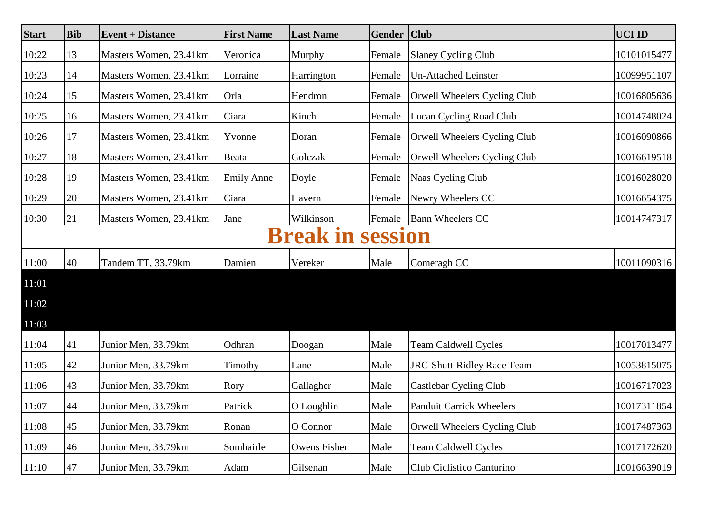| <b>Start</b> | <b>Bib</b>                 | <b>Event + Distance</b> | <b>First Name</b> | <b>Last Name</b>    | <b>Gender</b> | <b>Club</b>                       | <b>UCI ID</b> |  |  |  |
|--------------|----------------------------|-------------------------|-------------------|---------------------|---------------|-----------------------------------|---------------|--|--|--|
| 10:22        | 13                         | Masters Women, 23.41km  | Veronica          | Murphy              | Female        | <b>Slaney Cycling Club</b>        | 10101015477   |  |  |  |
| 10:23        | 14                         | Masters Women, 23.41km  | Lorraine          | Harrington          | Female        | <b>Un-Attached Leinster</b>       | 10099951107   |  |  |  |
| 10:24        | 15                         | Masters Women, 23.41km  | Orla              | Hendron             | Female        | Orwell Wheelers Cycling Club      | 10016805636   |  |  |  |
| 10:25        | 16                         | Masters Women, 23.41km  | Ciara             | Kinch               | Female        | <b>Lucan Cycling Road Club</b>    | 10014748024   |  |  |  |
| 10:26        | 17                         | Masters Women, 23.41km  | Yvonne            | Doran               | Female        | Orwell Wheelers Cycling Club      | 10016090866   |  |  |  |
| 10:27        | 18                         | Masters Women, 23.41km  | Beata             | Golczak             | Female        | Orwell Wheelers Cycling Club      | 10016619518   |  |  |  |
| 10:28        | 19                         | Masters Women, 23.41km  | <b>Emily Anne</b> | Doyle               | Female        | Naas Cycling Club                 | 10016028020   |  |  |  |
| 10:29        | 20                         | Masters Women, 23.41km  | Ciara             | Havern              | Female        | Newry Wheelers CC                 | 10016654375   |  |  |  |
| 10:30        | 21                         | Masters Women, 23.41km  | Jane              | Wilkinson           | Female        | <b>Bann Wheelers CC</b>           | 10014747317   |  |  |  |
|              | <b>Break in</b><br>session |                         |                   |                     |               |                                   |               |  |  |  |
| 11:00        | 40                         | Tandem TT, 33.79km      | Damien            | Vereker             | Male          | Comeragh CC                       | 10011090316   |  |  |  |
| 11:01        |                            |                         |                   |                     |               |                                   |               |  |  |  |
| 11:02        |                            |                         |                   |                     |               |                                   |               |  |  |  |
| 11:03        |                            |                         |                   |                     |               |                                   |               |  |  |  |
| 11:04        | 41                         | Junior Men, 33.79km     | Odhran            | Doogan              | Male          | <b>Team Caldwell Cycles</b>       | 10017013477   |  |  |  |
| 11:05        | 42                         | Junior Men, 33.79km     | Timothy           | Lane                | Male          | <b>JRC-Shutt-Ridley Race Team</b> | 10053815075   |  |  |  |
| 11:06        | 43                         | Junior Men, 33.79km     | Rory              | Gallagher           | Male          | Castlebar Cycling Club            | 10016717023   |  |  |  |
| 11:07        | 44                         | Junior Men, 33.79km     | Patrick           | O Loughlin          | Male          | <b>Panduit Carrick Wheelers</b>   | 10017311854   |  |  |  |
| 11:08        | 45                         | Junior Men, 33.79km     | Ronan             | O Connor            | Male          | Orwell Wheelers Cycling Club      | 10017487363   |  |  |  |
| 11:09        | 46                         | Junior Men, 33.79km     | Somhairle         | <b>Owens Fisher</b> | Male          | <b>Team Caldwell Cycles</b>       | 10017172620   |  |  |  |
| 11:10        | 47                         | Junior Men, 33.79km     | Adam              | Gilsenan            | Male          | Club Ciclistico Canturino         | 10016639019   |  |  |  |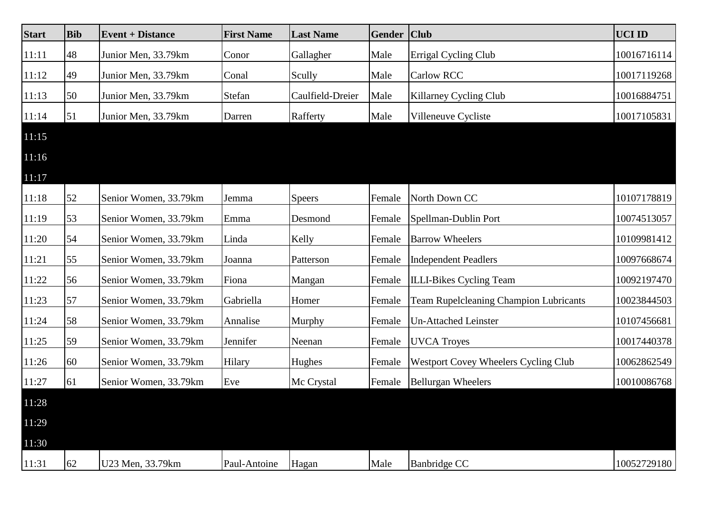| <b>Start</b> | <b>Bib</b> | <b>Event + Distance</b> | <b>First Name</b> | <b>Last Name</b> | <b>Gender</b> | <b>Club</b>                                   | <b>UCI ID</b> |
|--------------|------------|-------------------------|-------------------|------------------|---------------|-----------------------------------------------|---------------|
| 11:11        | 48         | Junior Men, 33.79km     | Conor             | Gallagher        | Male          | <b>Errigal Cycling Club</b>                   | 10016716114   |
| 11:12        | 49         | Junior Men, 33.79km     | Conal             | Scully           | Male          | Carlow RCC                                    | 10017119268   |
| 11:13        | 50         | Junior Men, 33.79km     | Stefan            | Caulfield-Dreier | Male          | Killarney Cycling Club                        | 10016884751   |
| 11:14        | 51         | Junior Men, 33.79km     | Darren            | Rafferty         | Male          | Villeneuve Cycliste                           | 10017105831   |
| 11:15        |            |                         |                   |                  |               |                                               |               |
| 11:16        |            |                         |                   |                  |               |                                               |               |
| 11:17        |            |                         |                   |                  |               |                                               |               |
| 11:18        | 52         | Senior Women, 33.79km   | Jemma             | <b>Speers</b>    | Female        | North Down CC                                 | 10107178819   |
| 11:19        | 53         | Senior Women, 33.79km   | Emma              | Desmond          | Female        | Spellman-Dublin Port                          | 10074513057   |
| 11:20        | 54         | Senior Women, 33.79km   | Linda             | Kelly            | Female        | <b>Barrow Wheelers</b>                        | 10109981412   |
| 11:21        | 55         | Senior Women, 33.79km   | Joanna            | Patterson        | Female        | <b>Independent Peadlers</b>                   | 10097668674   |
| 11:22        | 56         | Senior Women, 33.79km   | Fiona             | Mangan           | Female        | <b>ILLI-Bikes Cycling Team</b>                | 10092197470   |
| 11:23        | 57         | Senior Women, 33.79km   | Gabriella         | Homer            | Female        | <b>Team Rupelcleaning Champion Lubricants</b> | 10023844503   |
| 11:24        | 58         | Senior Women, 33.79km   | Annalise          | Murphy           | Female        | <b>Un-Attached Leinster</b>                   | 10107456681   |
| 11:25        | 59         | Senior Women, 33.79km   | Jennifer          | Neenan           | Female        | <b>UVCA Troyes</b>                            | 10017440378   |
| 11:26        | 60         | Senior Women, 33.79km   | Hilary            | Hughes           | Female        | <b>Westport Covey Wheelers Cycling Club</b>   | 10062862549   |
| 11:27        | 61         | Senior Women, 33.79km   | Eve               | Mc Crystal       | Female        | <b>Bellurgan Wheelers</b>                     | 10010086768   |
| 11:28        |            |                         |                   |                  |               |                                               |               |
| 11:29        |            |                         |                   |                  |               |                                               |               |
| 11:30        |            |                         |                   |                  |               |                                               |               |
| 11:31        | 62         | U23 Men, 33.79km        | Paul-Antoine      | Hagan            | Male          | <b>Banbridge CC</b>                           | 10052729180   |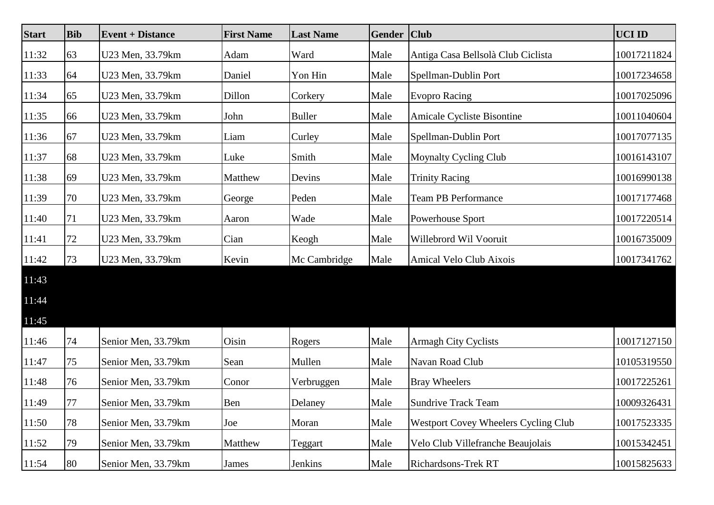| <b>Start</b> | <b>Bib</b> | <b>Event + Distance</b> | <b>First Name</b> | <b>Last Name</b> | <b>Gender</b> | <b>Club</b>                                 | <b>UCI ID</b> |
|--------------|------------|-------------------------|-------------------|------------------|---------------|---------------------------------------------|---------------|
| 11:32        | 63         | U23 Men, 33.79km        | Adam              | Ward             | Male          | Antiga Casa Bellsolà Club Ciclista          | 10017211824   |
| 11:33        | 64         | U23 Men, 33.79km        | Daniel            | Yon Hin          | Male          | Spellman-Dublin Port                        | 10017234658   |
| 11:34        | 65         | U23 Men, 33.79km        | Dillon            | Corkery          | Male          | <b>Evopro Racing</b>                        | 10017025096   |
| 11:35        | 66         | U23 Men, 33.79km        | John              | <b>Buller</b>    | Male          | Amicale Cycliste Bisontine                  | 10011040604   |
| 11:36        | 67         | U23 Men, 33.79km        | Liam              | Curley           | Male          | Spellman-Dublin Port                        | 10017077135   |
| 11:37        | 68         | U23 Men, 33.79km        | Luke              | Smith            | Male          | <b>Moynalty Cycling Club</b>                | 10016143107   |
| 11:38        | 69         | U23 Men, 33.79km        | Matthew           | Devins           | Male          | <b>Trinity Racing</b>                       | 10016990138   |
| 11:39        | 70         | U23 Men, 33.79km        | George            | Peden            | Male          | <b>Team PB Performance</b>                  | 10017177468   |
| 11:40        | 71         | U23 Men, 33.79km        | Aaron             | Wade             | Male          | Powerhouse Sport                            | 10017220514   |
| 11:41        | 72         | U23 Men, 33.79km        | Cian              | Keogh            | Male          | Willebrord Wil Vooruit                      | 10016735009   |
| 11:42        | 73         | U23 Men, 33.79km        | Kevin             | Mc Cambridge     | Male          | Amical Velo Club Aixois                     | 10017341762   |
| 11:43        |            |                         |                   |                  |               |                                             |               |
| 11:44        |            |                         |                   |                  |               |                                             |               |
| 11:45        |            |                         |                   |                  |               |                                             |               |
| 11:46        | 74         | Senior Men, 33.79km     | Oisin             | Rogers           | Male          | <b>Armagh City Cyclists</b>                 | 10017127150   |
| 11:47        | 75         | Senior Men, 33.79km     | Sean              | Mullen           | Male          | Navan Road Club                             | 10105319550   |
| 11:48        | 76         | Senior Men, 33.79km     | Conor             | Verbruggen       | Male          | <b>Bray Wheelers</b>                        | 10017225261   |
| 11:49        | 77         | Senior Men, 33.79km     | Ben               | Delaney          | Male          | Sundrive Track Team                         | 10009326431   |
| 11:50        | 78         | Senior Men, 33.79km     | Joe               | Moran            | Male          | <b>Westport Covey Wheelers Cycling Club</b> | 10017523335   |
| 11:52        | 79         | Senior Men, 33.79km     | Matthew           | Teggart          | Male          | Velo Club Villefranche Beaujolais           | 10015342451   |
| 11:54        | 80         | Senior Men, 33.79km     | James             | Jenkins          | Male          | Richardsons-Trek RT                         | 10015825633   |